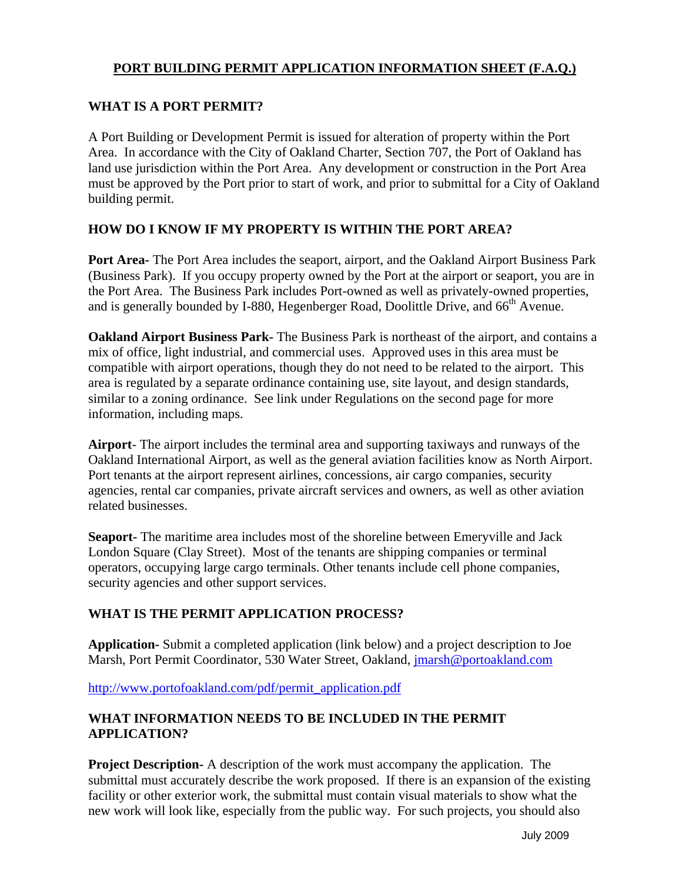## **PORT BUILDING PERMIT APPLICATION INFORMATION SHEET (F.A.Q.)**

### **WHAT IS A PORT PERMIT?**

A Port Building or Development Permit is issued for alteration of property within the Port Area. In accordance with the City of Oakland Charter, Section 707, the Port of Oakland has land use jurisdiction within the Port Area. Any development or construction in the Port Area must be approved by the Port prior to start of work, and prior to submittal for a City of Oakland building permit.

## **HOW DO I KNOW IF MY PROPERTY IS WITHIN THE PORT AREA?**

**Port Area-** The Port Area includes the seaport, airport, and the Oakland Airport Business Park (Business Park). If you occupy property owned by the Port at the airport or seaport, you are in the Port Area. The Business Park includes Port-owned as well as privately-owned properties, and is generally bounded by I-880, Hegenberger Road, Doolittle Drive, and 66<sup>th</sup> Avenue.

**Oakland Airport Business Park-** The Business Park is northeast of the airport, and contains a mix of office, light industrial, and commercial uses. Approved uses in this area must be compatible with airport operations, though they do not need to be related to the airport. This area is regulated by a separate ordinance containing use, site layout, and design standards, similar to a zoning ordinance. See link under Regulations on the second page for more information, including maps.

**Airport**- The airport includes the terminal area and supporting taxiways and runways of the Oakland International Airport, as well as the general aviation facilities know as North Airport. Port tenants at the airport represent airlines, concessions, air cargo companies, security agencies, rental car companies, private aircraft services and owners, as well as other aviation related businesses.

**Seaport-** The maritime area includes most of the shoreline between Emeryville and Jack London Square (Clay Street). Most of the tenants are shipping companies or terminal operators, occupying large cargo terminals. Other tenants include cell phone companies, security agencies and other support services.

### **WHAT IS THE PERMIT APPLICATION PROCESS?**

**Application-** Submit a completed application (link below) and a project description to Joe Marsh, Port Permit Coordinator, 530 Water Street, Oakland, jmarsh@portoakland.com

http://www.portofoakland.com/pdf/permit\_application.pdf

### **WHAT INFORMATION NEEDS TO BE INCLUDED IN THE PERMIT APPLICATION?**

**Project Description-** A description of the work must accompany the application. The submittal must accurately describe the work proposed. If there is an expansion of the existing facility or other exterior work, the submittal must contain visual materials to show what the new work will look like, especially from the public way. For such projects, you should also